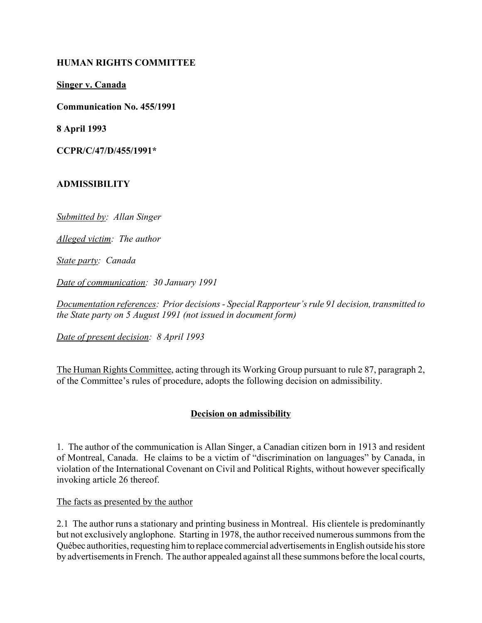### **HUMAN RIGHTS COMMITTEE**

**Singer v. Canada**

**Communication No. 455/1991**

**8 April 1993**

**CCPR/C/47/D/455/1991\***

### **ADMISSIBILITY**

*Submitted by: Allan Singer*

*Alleged victim: The author*

*State party: Canada*

*Date of communication: 30 January 1991*

Documentation references: Prior decisions - Special Rapporteur's rule 91 decision, transmitted to *the State party on 5 August 1991 (not issued in document form)*

*Date of present decision: 8 April 1993*

The Human Rights Committee, acting through its Working Group pursuant to rule 87, paragraph 2, of the Committee's rules of procedure, adopts the following decision on admissibility.

## **Decision on admissibility**

1. The author of the communication is Allan Singer, a Canadian citizen born in 1913 and resident of Montreal, Canada. He claims to be a victim of "discrimination on languages" by Canada, in violation of the International Covenant on Civil and Political Rights, without however specifically invoking article 26 thereof.

The facts as presented by the author

2.1 The author runs a stationary and printing business in Montreal. His clientele is predominantly but not exclusively anglophone. Starting in 1978, the author received numerous summons from the QuÈbec authorities, requesting him to replace commercial advertisements in English outside his store by advertisements in French. The author appealed against all these summons before the local courts,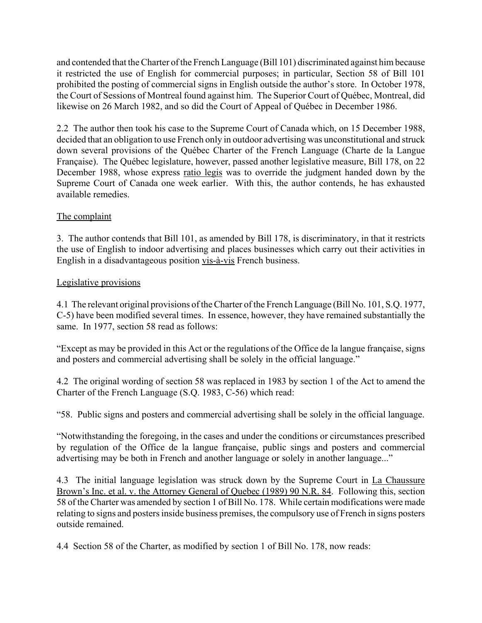and contended that the Charter of the French Language (Bill 101) discriminated against him because it restricted the use of English for commercial purposes; in particular, Section 58 of Bill 101 prohibited the posting of commercial signs in English outside the author's store. In October 1978, the Court of Sessions of Montreal found against him. The Superior Court of QuÈbec, Montreal, did likewise on 26 March 1982, and so did the Court of Appeal of Québec in December 1986.

2.2 The author then took his case to the Supreme Court of Canada which, on 15 December 1988, decided that an obligation to use French only in outdoor advertising was unconstitutional and struck down several provisions of the Québec Charter of the French Language (Charte de la Langue) Française). The Québec legislature, however, passed another legislative measure, Bill 178, on 22 December 1988, whose express ratio legis was to override the judgment handed down by the Supreme Court of Canada one week earlier. With this, the author contends, he has exhausted available remedies.

# The complaint

3. The author contends that Bill 101, as amended by Bill 178, is discriminatory, in that it restricts the use of English to indoor advertising and places businesses which carry out their activities in English in a disadvantageous position vis-à-vis French business.

### Legislative provisions

4.1 The relevant original provisions of the Charter of the French Language (Bill No. 101, S.Q. 1977, C-5) have been modified several times. In essence, however, they have remained substantially the same. In 1977, section 58 read as follows:

Except as may be provided in this Act or the regulations of the Office de la langue française, signs and posters and commercial advertising shall be solely in the official language."

4.2 The original wording of section 58 was replaced in 1983 by section 1 of the Act to amend the Charter of the French Language (S.Q. 1983, C-56) which read:

ì58. Public signs and posters and commercial advertising shall be solely in the official language.

ìNotwithstanding the foregoing, in the cases and under the conditions or circumstances prescribed by regulation of the Office de la langue française, public sings and posters and commercial advertising may be both in French and another language or solely in another language..."

4.3 The initial language legislation was struck down by the Supreme Court in La Chaussure Brown's Inc. et al. v. the Attorney General of Quebec (1989) 90 N.R. 84. Following this, section 58 of the Charter was amended by section 1 of Bill No. 178. While certain modifications were made relating to signs and posters inside business premises, the compulsory use of French in signs posters outside remained.

4.4 Section 58 of the Charter, as modified by section 1 of Bill No. 178, now reads: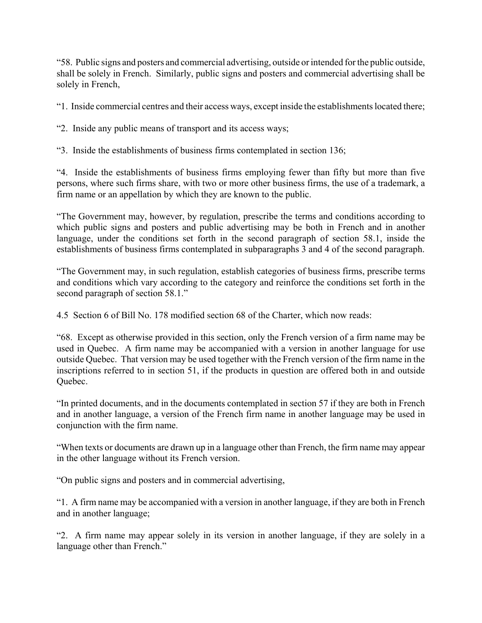ì58. Public signs and posters and commercial advertising, outside or intended for the public outside, shall be solely in French. Similarly, public signs and posters and commercial advertising shall be solely in French,

ì1. Inside commercial centres and their access ways, except inside the establishments located there;

ì2. Inside any public means of transport and its access ways;

ì3. Inside the establishments of business firms contemplated in section 136;

ì4. Inside the establishments of business firms employing fewer than fifty but more than five persons, where such firms share, with two or more other business firms, the use of a trademark, a firm name or an appellation by which they are known to the public.

ìThe Government may, however, by regulation, prescribe the terms and conditions according to which public signs and posters and public advertising may be both in French and in another language, under the conditions set forth in the second paragraph of section 58.1, inside the establishments of business firms contemplated in subparagraphs 3 and 4 of the second paragraph.

ìThe Government may, in such regulation, establish categories of business firms, prescribe terms and conditions which vary according to the category and reinforce the conditions set forth in the second paragraph of section 58.1.<sup>n</sup>

4.5 Section 6 of Bill No. 178 modified section 68 of the Charter, which now reads:

ì68. Except as otherwise provided in this section, only the French version of a firm name may be used in Quebec. A firm name may be accompanied with a version in another language for use outside Quebec. That version may be used together with the French version of the firm name in the inscriptions referred to in section 51, if the products in question are offered both in and outside Ouebec.

"In printed documents, and in the documents contemplated in section 57 if they are both in French and in another language, a version of the French firm name in another language may be used in conjunction with the firm name.

ìWhen texts or documents are drawn up in a language other than French, the firm name may appear in the other language without its French version.

ìOn public signs and posters and in commercial advertising,

ì1. A firm name may be accompanied with a version in another language, if they are both in French and in another language;

ì2. A firm name may appear solely in its version in another language, if they are solely in a language other than French."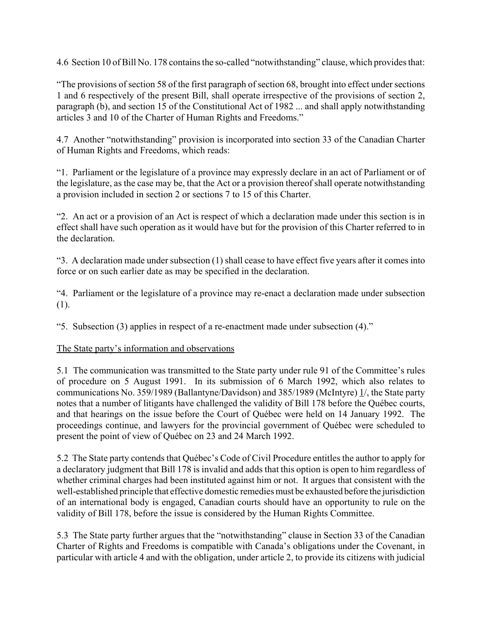4.6 Section 10 of Bill No. 178 contains the so-called "notwithstanding" clause, which provides that:

ìThe provisions of section 58 of the first paragraph of section 68, brought into effect under sections 1 and 6 respectively of the present Bill, shall operate irrespective of the provisions of section 2, paragraph (b), and section 15 of the Constitutional Act of 1982 ... and shall apply notwithstanding articles 3 and 10 of the Charter of Human Rights and Freedoms."

4.7 Another "notwithstanding" provision is incorporated into section 33 of the Canadian Charter of Human Rights and Freedoms, which reads:

ì1. Parliament or the legislature of a province may expressly declare in an act of Parliament or of the legislature, as the case may be, that the Act or a provision thereof shall operate notwithstanding a provision included in section 2 or sections 7 to 15 of this Charter.

ì2. An act or a provision of an Act is respect of which a declaration made under this section is in effect shall have such operation as it would have but for the provision of this Charter referred to in the declaration.

ì3. A declaration made under subsection (1) shall cease to have effect five years after it comes into force or on such earlier date as may be specified in the declaration.

ì4. Parliament or the legislature of a province may re-enact a declaration made under subsection (1).

 $\cdot$ 5. Subsection (3) applies in respect of a re-enactment made under subsection (4).<sup>n</sup>

## The State party's information and observations

5.1 The communication was transmitted to the State party under rule 91 of the Committee's rules of procedure on 5 August 1991. In its submission of 6 March 1992, which also relates to communications No. 359/1989 (Ballantyne/Davidson) and 385/1989 (McIntyre) 1/, the State party notes that a number of litigants have challenged the validity of Bill 178 before the Québec courts, and that hearings on the issue before the Court of QuÈbec were held on 14 January 1992. The proceedings continue, and lawyers for the provincial government of QuÈbec were scheduled to present the point of view of QuÈbec on 23 and 24 March 1992.

5.2 The State party contends that Québec's Code of Civil Procedure entitles the author to apply for a declaratory judgment that Bill 178 is invalid and adds that this option is open to him regardless of whether criminal charges had been instituted against him or not. It argues that consistent with the well-established principle that effective domestic remedies must be exhausted before the jurisdiction of an international body is engaged, Canadian courts should have an opportunity to rule on the validity of Bill 178, before the issue is considered by the Human Rights Committee.

5.3 The State party further argues that the "notwithstanding" clause in Section 33 of the Canadian Charter of Rights and Freedoms is compatible with Canada's obligations under the Covenant, in particular with article 4 and with the obligation, under article 2, to provide its citizens with judicial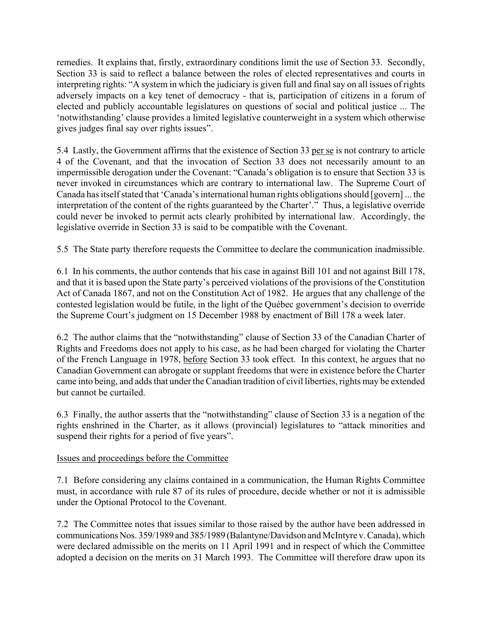remedies. It explains that, firstly, extraordinary conditions limit the use of Section 33. Secondly, Section 33 is said to reflect a balance between the roles of elected representatives and courts in interpreting rights: "A system in which the judiciary is given full and final say on all issues of rights adversely impacts on a key tenet of democracy - that is, participation of citizens in a forum of elected and publicly accountable legislatures on questions of social and political justice ... The ënotwithstandingí clause provides a limited legislative counterweight in a system which otherwise gives judges final say over rights issues".

5.4 Lastly, the Government affirms that the existence of Section 33 per se is not contrary to article 4 of the Covenant, and that the invocation of Section 33 does not necessarily amount to an impermissible derogation under the Covenant: "Canada's obligation is to ensure that Section 33 is never invoked in circumstances which are contrary to international law. The Supreme Court of Canada has itself stated that 'Canada's international human rights obligations should [govern] ... the interpretation of the content of the rights guaranteed by the Charter<sup>'</sup>.<sup>"</sup> Thus, a legislative override could never be invoked to permit acts clearly prohibited by international law. Accordingly, the legislative override in Section 33 is said to be compatible with the Covenant.

5.5 The State party therefore requests the Committee to declare the communication inadmissible.

6.1 In his comments, the author contends that his case in against Bill 101 and not against Bill 178, and that it is based upon the State party's perceived violations of the provisions of the Constitution Act of Canada 1867, and not on the Constitution Act of 1982. He argues that any challenge of the contested legislation would be futile, in the light of the Québec government's decision to override the Supreme Court's judgment on 15 December 1988 by enactment of Bill 178 a week later.

6.2 The author claims that the "notwithstanding" clause of Section 33 of the Canadian Charter of Rights and Freedoms does not apply to his case, as he had been charged for violating the Charter of the French Language in 1978, before Section 33 took effect. In this context, he argues that no Canadian Government can abrogate or supplant freedoms that were in existence before the Charter came into being, and adds that under the Canadian tradition of civil liberties, rights may be extended but cannot be curtailed.

6.3 Finally, the author asserts that the "notwithstanding" clause of Section 33 is a negation of the rights enshrined in the Charter, as it allows (provincial) legislatures to "attack minorities and suspend their rights for a period of five years".

## Issues and proceedings before the Committee

7.1 Before considering any claims contained in a communication, the Human Rights Committee must, in accordance with rule 87 of its rules of procedure, decide whether or not it is admissible under the Optional Protocol to the Covenant.

7.2 The Committee notes that issues similar to those raised by the author have been addressed in communications Nos. 359/1989 and 385/1989 (Balantyne/Davidson and McIntyre v. Canada), which were declared admissible on the merits on 11 April 1991 and in respect of which the Committee adopted a decision on the merits on 31 March 1993. The Committee will therefore draw upon its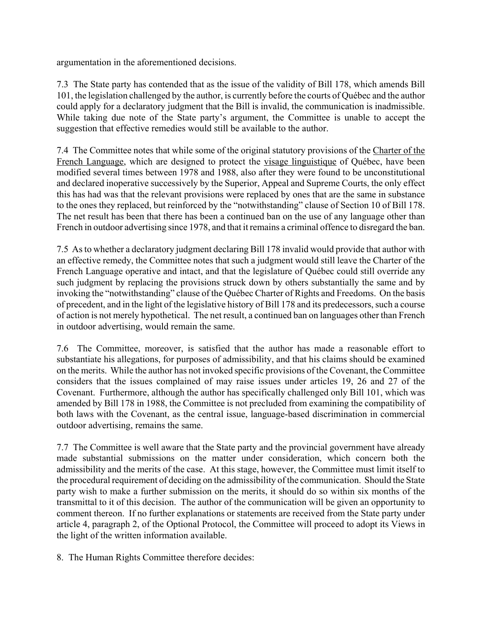argumentation in the aforementioned decisions.

7.3 The State party has contended that as the issue of the validity of Bill 178, which amends Bill 101, the legislation challenged by the author, is currently before the courts of QuÈbec and the author could apply for a declaratory judgment that the Bill is invalid, the communication is inadmissible. While taking due note of the State party's argument, the Committee is unable to accept the suggestion that effective remedies would still be available to the author.

7.4 The Committee notes that while some of the original statutory provisions of the Charter of the French Language, which are designed to protect the visage linguistique of Québec, have been modified several times between 1978 and 1988, also after they were found to be unconstitutional and declared inoperative successively by the Superior, Appeal and Supreme Courts, the only effect this has had was that the relevant provisions were replaced by ones that are the same in substance to the ones they replaced, but reinforced by the "notwithstanding" clause of Section 10 of Bill 178. The net result has been that there has been a continued ban on the use of any language other than French in outdoor advertising since 1978, and that it remains a criminal offence to disregard the ban.

7.5 As to whether a declaratory judgment declaring Bill 178 invalid would provide that author with an effective remedy, the Committee notes that such a judgment would still leave the Charter of the French Language operative and intact, and that the legislature of Québec could still override any such judgment by replacing the provisions struck down by others substantially the same and by invoking the "notwithstanding" clause of the Québec Charter of Rights and Freedoms. On the basis of precedent, and in the light of the legislative history of Bill 178 and its predecessors, such a course of action is not merely hypothetical. The net result, a continued ban on languages other than French in outdoor advertising, would remain the same.

7.6 The Committee, moreover, is satisfied that the author has made a reasonable effort to substantiate his allegations, for purposes of admissibility, and that his claims should be examined on the merits. While the author has not invoked specific provisions of the Covenant, the Committee considers that the issues complained of may raise issues under articles 19, 26 and 27 of the Covenant. Furthermore, although the author has specifically challenged only Bill 101, which was amended by Bill 178 in 1988, the Committee is not precluded from examining the compatibility of both laws with the Covenant, as the central issue, language-based discrimination in commercial outdoor advertising, remains the same.

7.7 The Committee is well aware that the State party and the provincial government have already made substantial submissions on the matter under consideration, which concern both the admissibility and the merits of the case. At this stage, however, the Committee must limit itself to the procedural requirement of deciding on the admissibility of the communication. Should the State party wish to make a further submission on the merits, it should do so within six months of the transmittal to it of this decision. The author of the communication will be given an opportunity to comment thereon. If no further explanations or statements are received from the State party under article 4, paragraph 2, of the Optional Protocol, the Committee will proceed to adopt its Views in the light of the written information available.

8. The Human Rights Committee therefore decides: